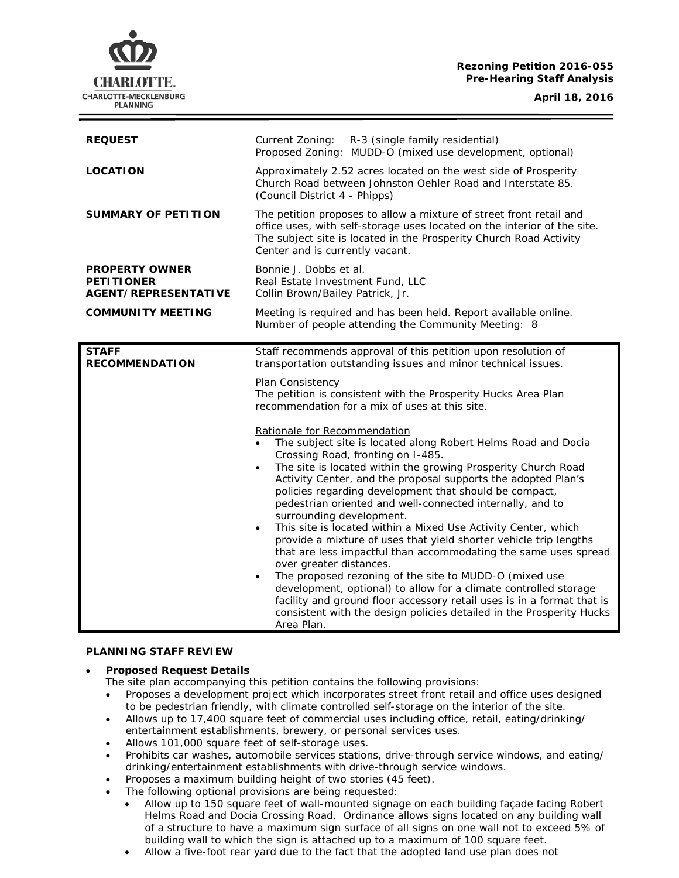# **Rezoning Petition 2016-055 Pre-Hearing Staff Analysis**

CHARLOTTE. CHARLOTTE-MECKLENBURG **PLANNING** 

**April 18, 2016**

## **PLANNING STAFF REVIEW**

#### • **Proposed Request Details**

The site plan accompanying this petition contains the following provisions:

- Proposes a development project which incorporates street front retail and office uses designed to be pedestrian friendly, with climate controlled self-storage on the interior of the site.
- Allows up to 17,400 square feet of commercial uses including office, retail, eating/drinking/ entertainment establishments, brewery, or personal services uses.
- Allows 101,000 square feet of self-storage uses.
- Prohibits car washes, automobile services stations, drive-through service windows, and eating/ drinking/entertainment establishments with drive-through service windows.
- Proposes a maximum building height of two stories (45 feet).
- The following optional provisions are being requested:
	- Allow up to 150 square feet of wall-mounted signage on each building façade facing Robert Helms Road and Docia Crossing Road. Ordinance allows signs located on any building wall of a structure to have a maximum sign surface of all signs on one wall not to exceed 5% of building wall to which the sign is attached up to a maximum of 100 square feet.
	- Allow a five-foot rear yard due to the fact that the adopted land use plan does not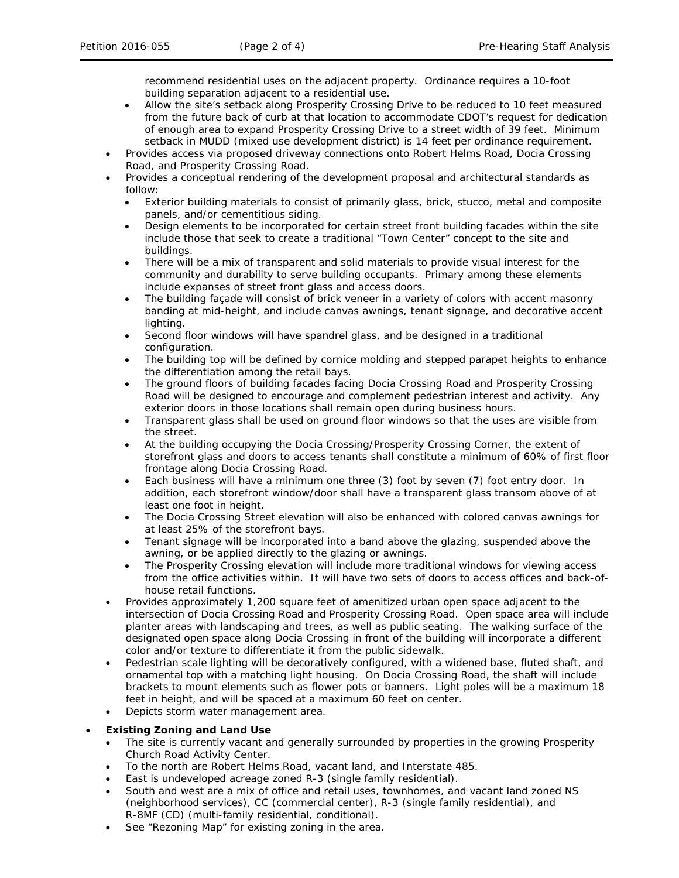recommend residential uses on the adjacent property. Ordinance requires a 10-foot building separation adjacent to a residential use.

- Allow the site's setback along Prosperity Crossing Drive to be reduced to 10 feet measured from the future back of curb at that location to accommodate CDOT's request for dedication of enough area to expand Prosperity Crossing Drive to a street width of 39 feet. Minimum setback in MUDD (mixed use development district) is 14 feet per ordinance requirement.
- Provides access via proposed driveway connections onto Robert Helms Road, Docia Crossing Road, and Prosperity Crossing Road.
- Provides a conceptual rendering of the development proposal and architectural standards as follow:
	- Exterior building materials to consist of primarily glass, brick, stucco, metal and composite panels, and/or cementitious siding.
	- Design elements to be incorporated for certain street front building facades within the site include those that seek to create a traditional "Town Center" concept to the site and buildings.
	- There will be a mix of transparent and solid materials to provide visual interest for the community and durability to serve building occupants. Primary among these elements include expanses of street front glass and access doors.
	- The building façade will consist of brick veneer in a variety of colors with accent masonry banding at mid-height, and include canvas awnings, tenant signage, and decorative accent lighting.
	- Second floor windows will have spandrel glass, and be designed in a traditional configuration.
	- The building top will be defined by cornice molding and stepped parapet heights to enhance the differentiation among the retail bays.
	- The ground floors of building facades facing Docia Crossing Road and Prosperity Crossing Road will be designed to encourage and complement pedestrian interest and activity. Any exterior doors in those locations shall remain open during business hours.
	- Transparent glass shall be used on ground floor windows so that the uses are visible from the street.
	- At the building occupying the Docia Crossing/Prosperity Crossing Corner, the extent of storefront glass and doors to access tenants shall constitute a minimum of 60% of first floor frontage along Docia Crossing Road.
	- Each business will have a minimum one three (3) foot by seven (7) foot entry door. In addition, each storefront window/door shall have a transparent glass transom above of at least one foot in height.
	- The Docia Crossing Street elevation will also be enhanced with colored canvas awnings for at least 25% of the storefront bays.
	- Tenant signage will be incorporated into a band above the glazing, suspended above the awning, or be applied directly to the glazing or awnings.
	- The Prosperity Crossing elevation will include more traditional windows for viewing access from the office activities within. It will have two sets of doors to access offices and back-ofhouse retail functions.
- Provides approximately 1,200 square feet of amenitized urban open space adjacent to the intersection of Docia Crossing Road and Prosperity Crossing Road. Open space area will include planter areas with landscaping and trees, as well as public seating. The walking surface of the designated open space along Docia Crossing in front of the building will incorporate a different color and/or texture to differentiate it from the public sidewalk.
- Pedestrian scale lighting will be decoratively configured, with a widened base, fluted shaft, and ornamental top with a matching light housing. On Docia Crossing Road, the shaft will include brackets to mount elements such as flower pots or banners. Light poles will be a maximum 18 feet in height, and will be spaced at a maximum 60 feet on center.
- Depicts storm water management area.

## • **Existing Zoning and Land Use**

- The site is currently vacant and generally surrounded by properties in the growing Prosperity Church Road Activity Center.
- To the north are Robert Helms Road, vacant land, and Interstate 485.
- East is undeveloped acreage zoned R-3 (single family residential).
- South and west are a mix of office and retail uses, townhomes, and vacant land zoned NS (neighborhood services), CC (commercial center), R-3 (single family residential), and R-8MF (CD) (multi-family residential, conditional).
- See "Rezoning Map" for existing zoning in the area.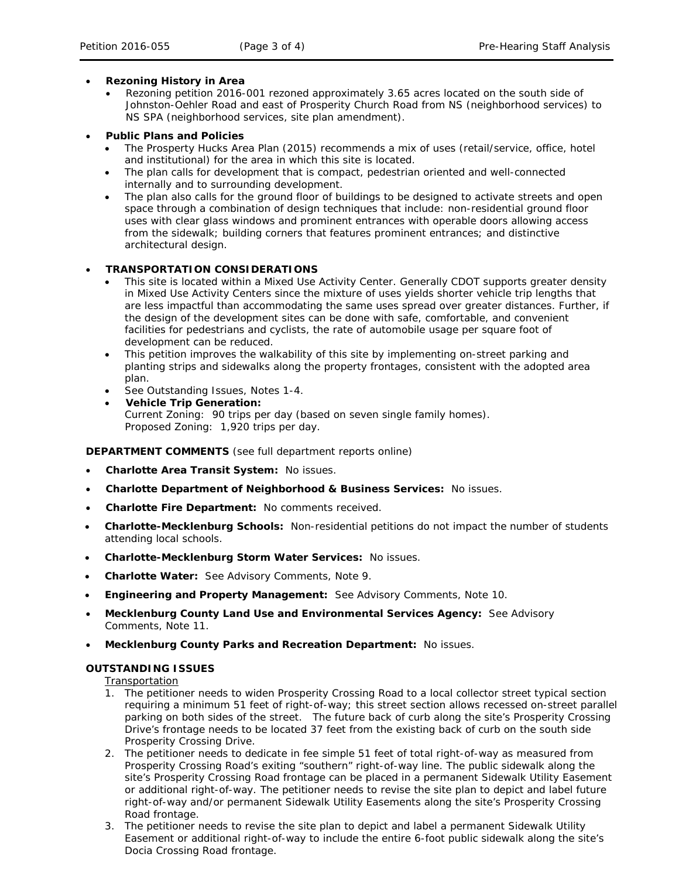#### • **Rezoning History in Area**

- Rezoning petition 2016-001 rezoned approximately 3.65 acres located on the south side of Johnston-Oehler Road and east of Prosperity Church Road from NS (neighborhood services) to NS SPA (neighborhood services, site plan amendment).
- **Public Plans and Policies**
	- The *Prosperty Hucks Area Plan* (2015) recommends a mix of uses (retail/service, office, hotel and institutional) for the area in which this site is located.
	- The plan calls for development that is compact, pedestrian oriented and well-connected internally and to surrounding development.
	- The plan also calls for the ground floor of buildings to be designed to activate streets and open space through a combination of design techniques that include: non-residential ground floor uses with clear glass windows and prominent entrances with operable doors allowing access from the sidewalk; building corners that features prominent entrances; and distinctive architectural design.

## • **TRANSPORTATION CONSIDERATIONS**

- This site is located within a Mixed Use Activity Center. Generally CDOT supports greater density in Mixed Use Activity Centers since the mixture of uses yields shorter vehicle trip lengths that are less impactful than accommodating the same uses spread over greater distances. Further, if the design of the development sites can be done with safe, comfortable, and convenient facilities for pedestrians and cyclists, the rate of automobile usage per square foot of development can be reduced.
- This petition improves the walkability of this site by implementing on-street parking and planting strips and sidewalks along the property frontages, consistent with the adopted area plan.
- See Outstanding Issues, Notes 1-4.
- **Vehicle Trip Generation:** Current Zoning: 90 trips per day (based on seven single family homes). Proposed Zoning: 1,920 trips per day.

## **DEPARTMENT COMMENTS** (see full department reports online)

- **Charlotte Area Transit System:** No issues.
- **Charlotte Department of Neighborhood & Business Services:** No issues.
- **Charlotte Fire Department:** No comments received.
- **Charlotte-Mecklenburg Schools:** Non-residential petitions do not impact the number of students attending local schools.
- **Charlotte-Mecklenburg Storm Water Services:** No issues.
- **Charlotte Water:** See Advisory Comments, Note 9.
- **Engineering and Property Management:** See Advisory Comments, Note 10.
- **Mecklenburg County Land Use and Environmental Services Agency:** See Advisory Comments, Note 11.
- **Mecklenburg County Parks and Recreation Department:** No issues.

## **OUTSTANDING ISSUES**

Transportation

- 1. The petitioner needs to widen Prosperity Crossing Road to a local collector street typical section requiring a minimum 51 feet of right-of-way; this street section allows recessed on-street parallel parking on both sides of the street. The future back of curb along the site's Prosperity Crossing Drive's frontage needs to be located 37 feet from the existing back of curb on the south side Prosperity Crossing Drive.
- 2. The petitioner needs to dedicate in fee simple 51 feet of total right-of-way as measured from Prosperity Crossing Road's exiting "southern" right-of-way line. The public sidewalk along the site's Prosperity Crossing Road frontage can be placed in a permanent Sidewalk Utility Easement or additional right-of-way. The petitioner needs to revise the site plan to depict and label future right-of-way and/or permanent Sidewalk Utility Easements along the site's Prosperity Crossing Road frontage.
- 3. The petitioner needs to revise the site plan to depict and label a permanent Sidewalk Utility Easement or additional right-of-way to include the entire 6-foot public sidewalk along the site's Docia Crossing Road frontage.